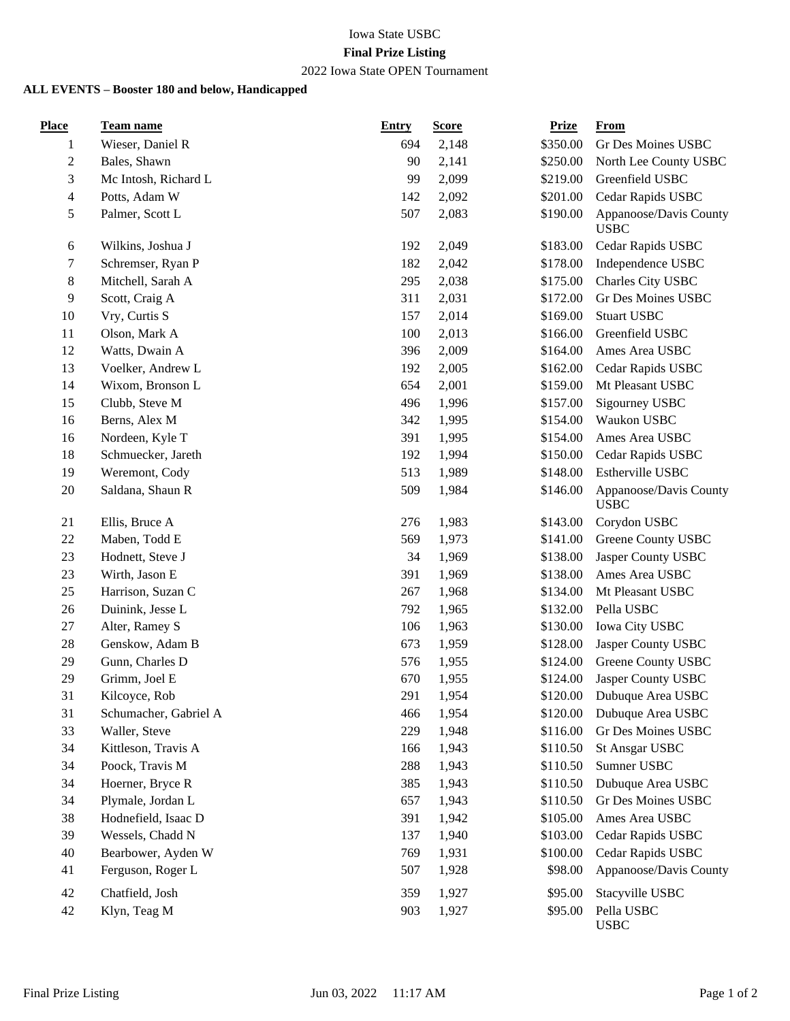## Iowa State USBC

### **Final Prize Listing**

# 2022 Iowa State OPEN Tournament

#### **ALL EVENTS – Booster 180 and below, Handicapped**

| <b>Place</b>            | <b>Team name</b>      | <b>Entry</b> | <b>Score</b> | <b>Prize</b> | <b>From</b>                           |
|-------------------------|-----------------------|--------------|--------------|--------------|---------------------------------------|
| 1                       | Wieser, Daniel R      | 694          | 2,148        | \$350.00     | Gr Des Moines USBC                    |
| $\overline{c}$          | Bales, Shawn          | 90           | 2,141        | \$250.00     | North Lee County USBC                 |
| 3                       | Mc Intosh, Richard L  | 99           | 2,099        | \$219.00     | Greenfield USBC                       |
| $\overline{\mathbf{4}}$ | Potts, Adam W         | 142          | 2,092        | \$201.00     | Cedar Rapids USBC                     |
| 5                       | Palmer, Scott L       | 507          | 2,083        | \$190.00     | Appanoose/Davis County<br><b>USBC</b> |
| 6                       | Wilkins, Joshua J     | 192          | 2,049        | \$183.00     | Cedar Rapids USBC                     |
| 7                       | Schremser, Ryan P     | 182          | 2,042        | \$178.00     | Independence USBC                     |
| $\,8\,$                 | Mitchell, Sarah A     | 295          | 2,038        | \$175.00     | Charles City USBC                     |
| 9                       | Scott, Craig A        | 311          | 2,031        | \$172.00     | Gr Des Moines USBC                    |
| 10                      | Vry, Curtis S         | 157          | 2,014        | \$169.00     | <b>Stuart USBC</b>                    |
| 11                      | Olson, Mark A         | 100          | 2,013        | \$166.00     | Greenfield USBC                       |
| 12                      | Watts, Dwain A        | 396          | 2,009        | \$164.00     | Ames Area USBC                        |
| 13                      | Voelker, Andrew L     | 192          | 2,005        | \$162.00     | Cedar Rapids USBC                     |
| 14                      | Wixom, Bronson L      | 654          | 2,001        | \$159.00     | Mt Pleasant USBC                      |
| 15                      | Clubb, Steve M        | 496          | 1,996        | \$157.00     | Sigourney USBC                        |
| 16                      | Berns, Alex M         | 342          | 1,995        | \$154.00     | Waukon USBC                           |
| 16                      | Nordeen, Kyle T       | 391          | 1,995        | \$154.00     | Ames Area USBC                        |
| 18                      | Schmuecker, Jareth    | 192          | 1,994        | \$150.00     | Cedar Rapids USBC                     |
| 19                      | Weremont, Cody        | 513          | 1,989        | \$148.00     | Estherville USBC                      |
| 20                      | Saldana, Shaun R      | 509          | 1,984        | \$146.00     | Appanoose/Davis County<br><b>USBC</b> |
| 21                      | Ellis, Bruce A        | 276          | 1,983        | \$143.00     | Corydon USBC                          |
| 22                      | Maben, Todd E         | 569          | 1,973        | \$141.00     | Greene County USBC                    |
| 23                      | Hodnett, Steve J      | 34           | 1,969        | \$138.00     | Jasper County USBC                    |
| 23                      | Wirth, Jason E        | 391          | 1,969        | \$138.00     | Ames Area USBC                        |
| 25                      | Harrison, Suzan C     | 267          | 1,968        | \$134.00     | Mt Pleasant USBC                      |
| 26                      | Duinink, Jesse L      | 792          | 1,965        | \$132.00     | Pella USBC                            |
| 27                      | Alter, Ramey S        | 106          | 1,963        | \$130.00     | Iowa City USBC                        |
| 28                      | Genskow, Adam B       | 673          | 1,959        | \$128.00     | Jasper County USBC                    |
| 29                      | Gunn, Charles D       | 576          | 1,955        | \$124.00     | Greene County USBC                    |
| 29                      | Grimm, Joel E         | 670          | 1,955        | \$124.00     | Jasper County USBC                    |
| 31                      | Kilcoyce, Rob         | 291          | 1,954        |              | \$120.00 Dubuque Area USBC            |
| 31                      | Schumacher, Gabriel A | 466          | 1,954        | \$120.00     | Dubuque Area USBC                     |
| 33                      | Waller, Steve         | 229          | 1,948        | \$116.00     | Gr Des Moines USBC                    |
| 34                      | Kittleson, Travis A   | 166          | 1,943        | \$110.50     | <b>St Ansgar USBC</b>                 |
| 34                      | Poock, Travis M       | 288          | 1,943        | \$110.50     | Sumner USBC                           |
| 34                      | Hoerner, Bryce R      | 385          | 1,943        | \$110.50     | Dubuque Area USBC                     |
| 34                      | Plymale, Jordan L     | 657          | 1,943        | \$110.50     | Gr Des Moines USBC                    |
| 38                      | Hodnefield, Isaac D   | 391          | 1,942        | \$105.00     | Ames Area USBC                        |
| 39                      | Wessels, Chadd N      | 137          | 1,940        | \$103.00     | Cedar Rapids USBC                     |
| 40                      | Bearbower, Ayden W    | 769          | 1,931        | \$100.00     | Cedar Rapids USBC                     |
| 41                      | Ferguson, Roger L     | 507          | 1,928        | \$98.00      | Appanoose/Davis County                |
| 42                      | Chatfield, Josh       | 359          | 1,927        | \$95.00      | Stacyville USBC                       |
| 42                      | Klyn, Teag M          | 903          | 1,927        | \$95.00      | Pella USBC<br><b>USBC</b>             |